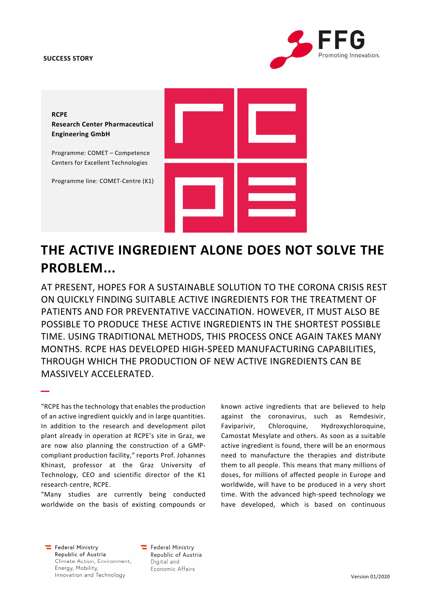### SUCCESS STORY





# THE ACTIVE INGREDIENT ALONE DOES NOT SOLVE THE PROBLEM...

AT PRESENT, HOPES FOR A SUSTAINABLE SOLUTION TO THE CORONA CRISIS REST ON QUICKLY FINDING SUITABLE ACTIVE INGREDIENTS FOR THE TREATMENT OF PATIENTS AND FOR PREVENTATIVE VACCINATION. HOWEVER, IT MUST ALSO BE POSSIBLE TO PRODUCE THESE ACTIVE INGREDIENTS IN THE SHORTEST POSSIBLE TIME. USING TRADITIONAL METHODS, THIS PROCESS ONCE AGAIN TAKES MANY MONTHS. RCPE HAS DEVELOPED HIGH-SPEED MANUFACTURING CAPABILITIES, THROUGH WHICH THE PRODUCTION OF NEW ACTIVE INGREDIENTS CAN BE MASSIVELY ACCELERATED.

"RCPE has the technology that enables the production of an active ingredient quickly and in large quantities. In addition to the research and development pilot plant already in operation at RCPE's site in Graz, we are now also planning the construction of a GMPcompliant production facility," reports Prof. Johannes Khinast, professor at the Graz University of Technology, CEO and scientific director of the K1 research centre, RCPE.

"Many studies are currently being conducted worldwide on the basis of existing compounds or

known active ingredients that are believed to help against the coronavirus, such as Remdesivir, Faviparivir, Chloroquine, Hydroxychloroquine, Camostat Mesylate and others. As soon as a suitable active ingredient is found, there will be an enormous need to manufacture the therapies and distribute them to all people. This means that many millions of doses, for millions of affected people in Europe and worldwide, will have to be produced in a very short time. With the advanced high-speed technology we have developed, which is based on continuous

 $\equiv$  Federal Ministry Republic of Austria Climate Action, Environment, Energy, Mobility, Innovation and Technology

–

Federal Ministry Republic of Austria Digital and Economic Affairs